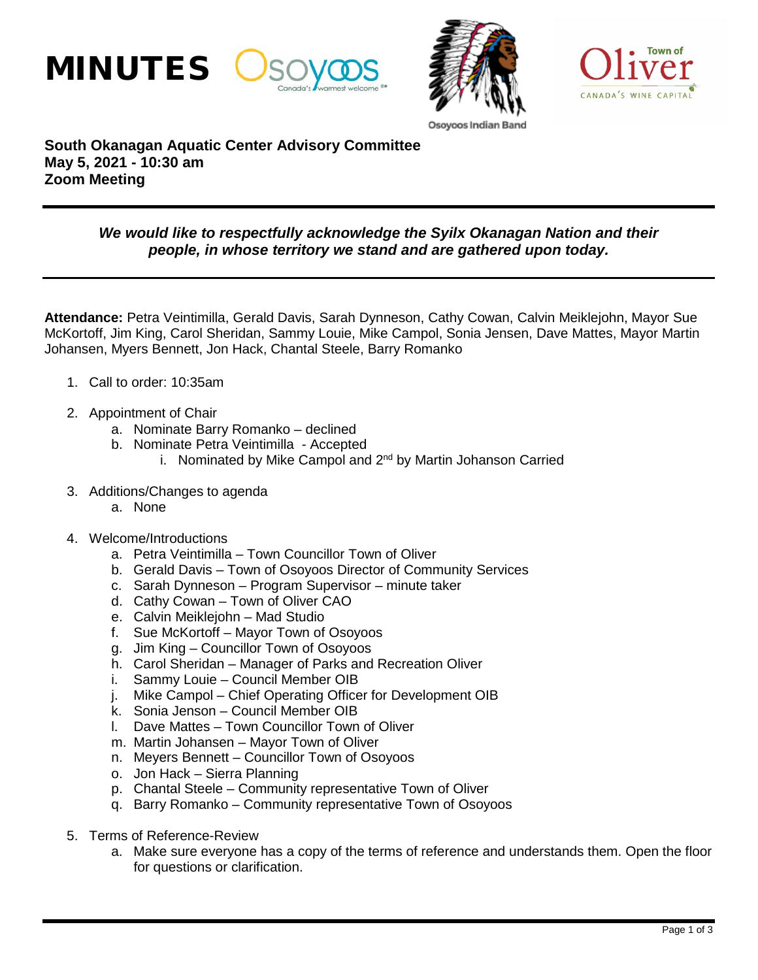





## **South Okanagan Aquatic Center Advisory Committee May 5, 2021 - 10:30 am Zoom Meeting**

## *We would like to respectfully acknowledge the Syilx Okanagan Nation and their people, in whose territory we stand and are gathered upon today.*

**Attendance:** Petra Veintimilla, Gerald Davis, Sarah Dynneson, Cathy Cowan, Calvin Meiklejohn, Mayor Sue McKortoff, Jim King, Carol Sheridan, Sammy Louie, Mike Campol, Sonia Jensen, Dave Mattes, Mayor Martin Johansen, Myers Bennett, Jon Hack, Chantal Steele, Barry Romanko

- 1. Call to order: 10:35am
- 2. Appointment of Chair
	- a. Nominate Barry Romanko declined
	- b. Nominate Petra Veintimilla Accepted
		- i. Nominated by Mike Campol and  $2^{nd}$  by Martin Johanson Carried
- 3. Additions/Changes to agenda
	- a. None
- 4. Welcome/Introductions
	- a. Petra Veintimilla Town Councillor Town of Oliver
	- b. Gerald Davis Town of Osoyoos Director of Community Services
	- c. Sarah Dynneson Program Supervisor minute taker
	- d. Cathy Cowan Town of Oliver CAO
	- e. Calvin Meiklejohn Mad Studio
	- f. Sue McKortoff Mayor Town of Osoyoos
	- g. Jim King Councillor Town of Osoyoos
	- h. Carol Sheridan Manager of Parks and Recreation Oliver
	- i. Sammy Louie Council Member OIB
	- j. Mike Campol Chief Operating Officer for Development OIB
	- k. Sonia Jenson Council Member OIB
	- l. Dave Mattes Town Councillor Town of Oliver
	- m. Martin Johansen Mayor Town of Oliver
	- n. Meyers Bennett Councillor Town of Osoyoos
	- o. Jon Hack Sierra Planning
	- p. Chantal Steele Community representative Town of Oliver
	- q. Barry Romanko Community representative Town of Osoyoos
- 5. Terms of Reference-Review
	- a. Make sure everyone has a copy of the terms of reference and understands them. Open the floor for questions or clarification.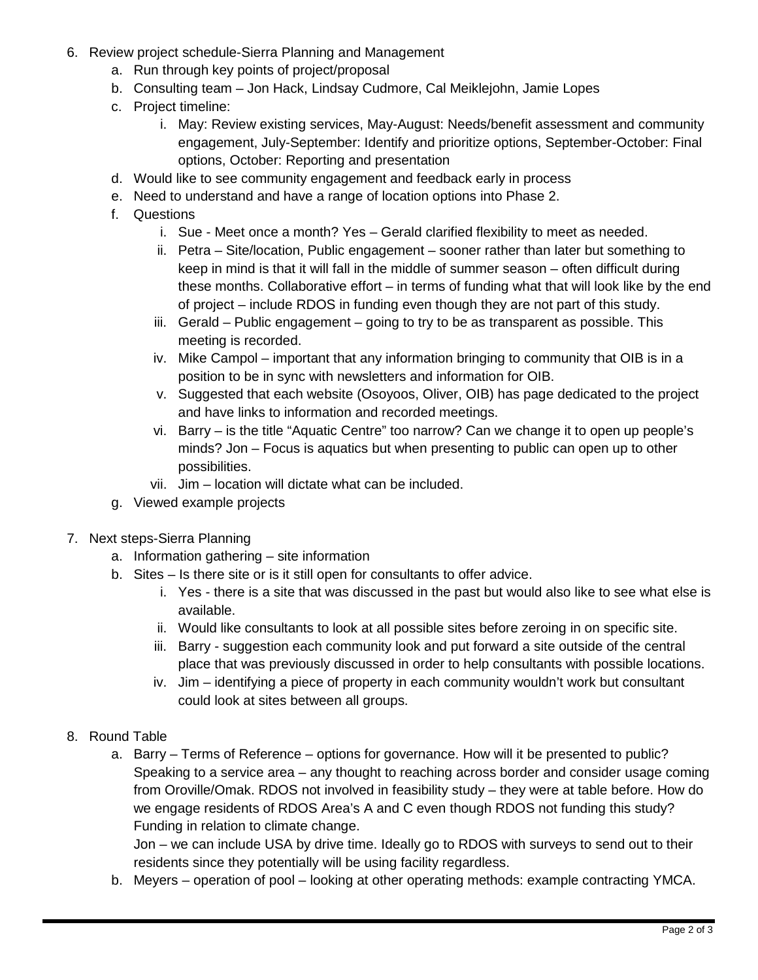- 6. Review project schedule-Sierra Planning and Management
	- a. Run through key points of project/proposal
	- b. Consulting team Jon Hack, Lindsay Cudmore, Cal Meiklejohn, Jamie Lopes
	- c. Project timeline:
		- i. May: Review existing services, May-August: Needs/benefit assessment and community engagement, July-September: Identify and prioritize options, September-October: Final options, October: Reporting and presentation
	- d. Would like to see community engagement and feedback early in process
	- e. Need to understand and have a range of location options into Phase 2.
	- f. Questions
		- i. Sue Meet once a month? Yes Gerald clarified flexibility to meet as needed.
		- ii. Petra Site/location, Public engagement sooner rather than later but something to keep in mind is that it will fall in the middle of summer season – often difficult during these months. Collaborative effort – in terms of funding what that will look like by the end of project – include RDOS in funding even though they are not part of this study.
		- iii. Gerald Public engagement going to try to be as transparent as possible. This meeting is recorded.
		- iv. Mike Campol important that any information bringing to community that OIB is in a position to be in sync with newsletters and information for OIB.
		- v. Suggested that each website (Osoyoos, Oliver, OIB) has page dedicated to the project and have links to information and recorded meetings.
		- vi. Barry is the title "Aquatic Centre" too narrow? Can we change it to open up people's minds? Jon – Focus is aquatics but when presenting to public can open up to other possibilities.
		- vii. Jim location will dictate what can be included.
	- g. Viewed example projects
- 7. Next steps-Sierra Planning
	- a. Information gathering site information
	- b. Sites Is there site or is it still open for consultants to offer advice.
		- i. Yes there is a site that was discussed in the past but would also like to see what else is available.
		- ii. Would like consultants to look at all possible sites before zeroing in on specific site.
		- iii. Barry suggestion each community look and put forward a site outside of the central place that was previously discussed in order to help consultants with possible locations.
		- iv. Jim identifying a piece of property in each community wouldn't work but consultant could look at sites between all groups.
- 8. Round Table
	- a. Barry Terms of Reference options for governance. How will it be presented to public? Speaking to a service area – any thought to reaching across border and consider usage coming from Oroville/Omak. RDOS not involved in feasibility study – they were at table before. How do we engage residents of RDOS Area's A and C even though RDOS not funding this study? Funding in relation to climate change.

Jon – we can include USA by drive time. Ideally go to RDOS with surveys to send out to their residents since they potentially will be using facility regardless.

b. Meyers – operation of pool – looking at other operating methods: example contracting YMCA.